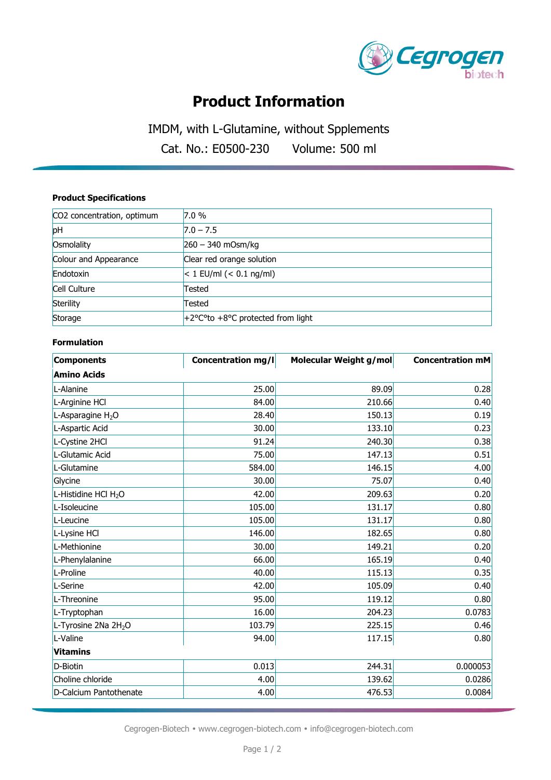

# **Product Information**

IMDM, with L-Glutamine, without Spplements

Cat. No.: E0500-230 Volume: 500 ml

### **Product Specifications**

| CO2 concentration, optimum | 7.0%                              |
|----------------------------|-----------------------------------|
| pH                         | $7.0 - 7.5$                       |
| Osmolality                 | $260 - 340$ mOsm/kg               |
| Colour and Appearance      | Clear red orange solution         |
| Endotoxin                  | $< 1$ EU/ml $(< 0.1$ ng/ml)       |
| Cell Culture               | Tested                            |
| Sterility                  | Tested                            |
| Storage                    | +2°C°to +8°C protected from light |

#### **Formulation**

| <b>Components</b>                | <b>Concentration mg/l</b> | Molecular Weight g/mol | <b>Concentration mM</b> |
|----------------------------------|---------------------------|------------------------|-------------------------|
| <b>Amino Acids</b>               |                           |                        |                         |
| L-Alanine                        | 25.00                     | 89.09                  | 0.28                    |
| L-Arginine HCl                   | 84.00                     | 210.66                 | 0.40                    |
| L-Asparagine H <sub>2</sub> O    | 28.40                     | 150.13                 | 0.19                    |
| L-Aspartic Acid                  | 30.00                     | 133.10                 | 0.23                    |
| L-Cystine 2HCl                   | 91.24                     | 240.30                 | 0.38                    |
| L-Glutamic Acid                  | 75.00                     | 147.13                 | 0.51                    |
| L-Glutamine                      | 584.00                    | 146.15                 | 4.00                    |
| Glycine                          | 30.00                     | 75.07                  | 0.40                    |
| L-Histidine HCl H <sub>2</sub> O | 42.00                     | 209.63                 | 0.20                    |
| L-Isoleucine                     | 105.00                    | 131.17                 | 0.80                    |
| L-Leucine                        | 105.00                    | 131.17                 | 0.80                    |
| L-Lysine HCl                     | 146.00                    | 182.65                 | 0.80                    |
| L-Methionine                     | 30.00                     | 149.21                 | 0.20                    |
| L-Phenylalanine                  | 66.00                     | 165.19                 | 0.40                    |
| L-Proline                        | 40.00                     | 115.13                 | 0.35                    |
| L-Serine                         | 42.00                     | 105.09                 | 0.40                    |
| L-Threonine                      | 95.00                     | 119.12                 | 0.80                    |
| L-Tryptophan                     | 16.00                     | 204.23                 | 0.0783                  |
| L-Tyrosine 2Na 2H <sub>2</sub> O | 103.79                    | 225.15                 | 0.46                    |
| L-Valine                         | 94.00                     | 117.15                 | 0.80                    |
| <b>Vitamins</b>                  |                           |                        |                         |
| D-Biotin                         | 0.013                     | 244.31                 | 0.000053                |
| Choline chloride                 | 4.00                      | 139.62                 | 0.0286                  |
| D-Calcium Pantothenate           | 4.00                      | 476.53                 | 0.0084                  |

Cegrogen-Biotech • www.cegrogen-biotech.com • info@cegrogen-biotech.com